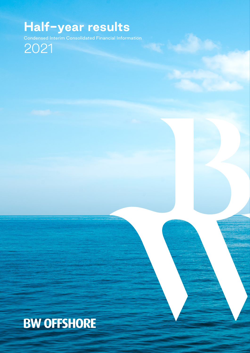# **Half-year results**

Condensed Interim Consolidated Financial Information



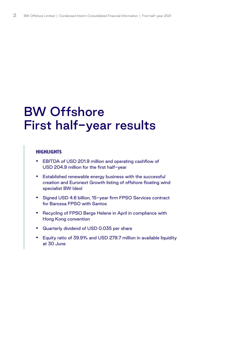# BW Offshore First half-year results

### **HIGHLIGHTS**

- EBITDA of USD 201.9 million and operating cashflow of USD 204.9 million for the first half-year
- Established renewable energy business with the successful creation and Euronext Growth listing of offshore floating wind specialist BW Ideol
- Signed USD 4.6 billion, 15-year firm FPSO Services contract for Barossa FPSO with Santos
- Recycling of FPSO Berge Helene in April in compliance with Hong Kong convention
- Quarterly dividend of USD 0.035 per share
- Equity ratio of 39.9% and USD 279.7 million in available liquidity at 30 June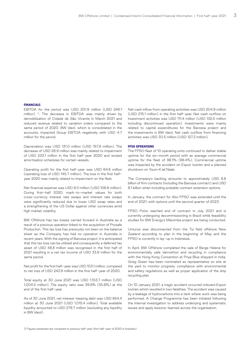#### **FINANCIALS**

EBITDA for the period was USD 201.9 million (USD 246.1 million)<sup>1)</sup>. The decrease in EBITDA was mainly driven by demobilisation of Cidade de São Vicente in March 2021 and reduced revenue related to variation orders compared to the same period of 2020. BW Ideol, which is consolidated in the accounts, impacted Group EBITDA negatively with USD 4.7 million for the period.

Depreciation was USD 131.0 million (USD 157.9 million). The decrease of USD 26.9 million was mainly related to impairment of USD 233.1 million in the first half-year 2020 and revised amortisation schedules for certain vessels.

Operating profit for the first half-year was USD 64.6 million (operating loss of USD 145.7 million). The loss in the first halfyear 2020 was mainly related to impairment on the fleet.

Net financial expense was USD 9.0 million (USD 106.6 million). During first-half 2020, mark-to-market values for both cross-currency interest rate swaps and interest rate swaps were significantly reduced due to lower USD swap rates and a strengthening of the US Dollar against other currencies amid high market volatility.

BW Offshore has tax losses carried forward in Australia as a result of a previous operation linked to the acquisition of Prosafe Production. This tax loss has previously not been on the balance sheet as the Company has had no operation in Australia in recent years. With the signing of Barossa project, it is anticipated that this tax loss can be utilised and consequently a deferred tax asset of USD 48.8 million was recognised in the first half of 2021 resulting in a net tax income of USD 33.9 million for the same period.

Net profit for the first half-year was USD 103.1 million, compared to net loss of USD 243.9 million in the first half-year of 2020.

Total equity at 30 June 2021 was USD 1,103.7 million (USD 1,004.5 million). The equity ratio was 39.9% (35.8%) at the end of the first half-year.

As of 30 June 2021, net interest-bearing debt was USD 854.4 million at 30 June 2021 (USD 1,015.4 million). Total available liquidity amounted to USD 279.7 million (excluding any liquidity in BW Ideol).

Net cash inflow from operating activities was USD 204.9 million (USD 215.1 million) in the first half-year. Net cash outflow on investment activities was USD 111.4 million (USD 132.0 million including discontinued operation). Investments were mainly related to capital expenditures for the Barossa project and the investments in BW Ideol. Net cash outflow from financing activities was USD 30.5 million (USD 127.3 million).

#### **FPSO OPERATIONS**

The FPSO fleet of 10 operating units continued to deliver stable uptime for the six-month period with an average commercial uptime for the fleet of 98.1% (98.4%). Commercial uptime was impacted by the accident on Espoir Ivoirien and a planned shutdown on Yùum K'ak'Náab.

The Company's backlog amounts to approximately USD 6.8 billion of firm contracts (including the Barossa contract) and USD 8.1 billion when including probable contract extension options.

In January, the contract for Abo FPSO was extended until the end of 2021, with options until the second quarter of 2023.

FPSO Polvo reached end of contract in July 2021 and is currently undergoing decommissioning in Brazil while feasibility studies for BW Energy's Maromba project are being conducted.

Umuroa was disconnected from the Tui field offshore New Zealand according to plan in the beginning of May and the FPSO is currently in lay-up in Indonesia.

In April, BW Offshore completed the sale of Berge Helene for environmentally safe demolition and recycling in compliance with the Hong Kong Convention at Priya Blue shipyard in India. Grieg Green has been nominated as representative on site at the yard to monitor progress, compliance with environmental and safety regulations as well as proper application of the ship recycling plan.

On 10 January 2021, a tragic accident occurred onboard Espoir Ivoirien which resulted in two fatalities. The accident was caused by a leakage of hydrocarbons into a tank where work was being performed. A Change Programme has been initiated following the internal investigation to address underlying and systematic issues and apply lessons-learned across the organisation.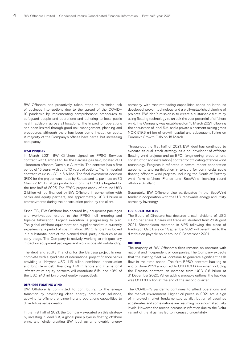BW Offshore has proactively taken steps to minimise risk of business interruptions due to the spread of the COVID-19 pandemic by implementing comprehensive procedures to safeguard people and operations and adhering to local public health advisory across all locations. The impact on operations has been limited through good risk management, planning and procedures, although there has been some impact on costs. A majority of the Company's offices have partial but increasing occupancy.

#### **FPSO PROJECTS**

In March 2021, BW Offshore signed an FPSO Services contract with Santos Ltd. for the Barossa gas field, located 300 kilometres offshore Darwin in Australia. The contract has a firm period of 15 years, with up to 10 years of options. The firm period contract value is USD 4.6 billion. The final investment decision (FID) for the project was made by Santos and its partners on 30 March 2021. Initial gas production from the FPSO is targeted for the first half of 2025. The FPSO project capex of around USD 2 billion will be financed by BW Offshore in combination with banks and equity partners, and approximately USD 1 billion in pre-payments during the construction period by the client.

Since FID, BW Offshore has secured key equipment packages and work-scope related to the FPSO hull, mooring and topside fabrication. Project execution is progressing to plan. The global offshore equipment and supplier market is currently experiencing a period of cost inflation. BW Offshore has locked in a substantial part of the planned third-party deliveries at an early stage. The Company is actively working to mitigate any impact on equipment packages and work scope still outstanding.

The debt and equity financing for the Barossa project is near complete with a syndicate of international project finance banks providing a 14-year USD 1.15 billion combined construction and long-term debt financing. BW Offshore and international infrastructure equity partners will contribute 51% and 49% of the USD 240 million project equity, respectively.

#### **OFFSHORE FLOATING WIND**

BW Offshore is committed to contributing to the energy transition by developing clean energy production solutions, applying its offshore engineering and operations capabilities to drive future value creation.

In the first half of 2021, the Company executed on this strategy by investing in Ideol S.A, a global pure player in floating offshore wind, and jointly creating BW Ideol as a renewable energy company with market-leading capabilities based on in-house developed, proven technology and a well-established pipeline of projects. BW Ideol's mission is to create a sustainable future by using floating technology to unlock the vast potential of offshore wind. The Company was established on 15 March 2021 following the acquisition of Ideol S.A. and a private placement raising gross NOK 519.6 million of growth capital and subsequent listing on Euronext Growth Oslo on 18 March.

Throughout the first half of 2021, BW Ideol has continued to execute its dual-track strategy as a co-developer of offshore floating wind projects and as EPCI (engineering, procurement, construction and installation) contractor of floating offshore wind technology. Progress is reflected in several recent cooperation agreements and participation in tenders for commercial scale floating offshore wind projects, including the South of Brittany wind farm offshore France and ScotWind licensing round offshore Scotland.

Separately, BW Offshore also participates in the ScotWind tender in cooperation with the U.S. renewable energy and utility company Invenergy.

#### **CORPORATE MATTERS**

The Board of Directors has declared a cash dividend of USD 0.035 per share. Shares will trade ex-dividend from 31 August 2021. Shareholders recorded in VPS following the close of trading on Oslo Børs on 1 September 2021 will be entitled to the distribution payable on or around 9 September 2021.

#### **OUTLOOK**

The majority of BW Offshore's fleet remains on contract with national and independent oil companies. The Company expects that the existing fleet will continue to generate significant cash flow in the time ahead. The firm FPSO contract backlog at end of June 2021 amounted to USD 6.8 billion when including the Barossa contract, an increase from USD 2.6 billion at 31 December 2020. When adding probable options, the backlog was USD 8.1 billion at the end of the second quarter.

The COVID-19 pandemic continues to affect operations and the market environment. Higher oil prices in 2021 are a sign of improved market fundamentals as distribution of vaccines accelerates and some nations are resuming more normal activity levels. However, the recent increase in infection due to the Delta variant of the virus has led to increased uncertainty.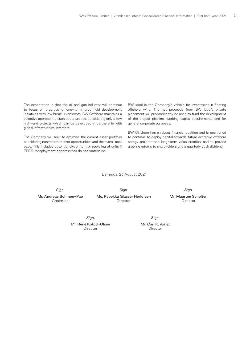The expectation is that the oil and gas industry will continue to focus on progressing long-term large field development initiatives with low break-even costs. BW Offshore maintains a selective approach to such opportunities, considering only a few high-end projects which can be developed in partnership with global infrastructure investors.

The Company will seek to optimise the current asset portfolio considering near-term market opportunities and the overall cost base. This includes potential divestment or recycling of units if FPSO redeployment opportunities do not materialise.

BW Ideol is the Company's vehicle for investment in floating offshore wind. The net proceeds from BW Ideol's private placement will predominantly be used to fund the development of the project pipeline, working capital requirements and for general corporate purposes.

BW Offshore has a robust financial position and is positioned to continue to deploy capital towards future accretive offshore energy projects and long-term value creation, and to provide growing returns to shareholders and a quarterly cash dividend.

Bermuda, 23 August 2021

*Sign.*  Mr. Andreas Sohmen-Pao Chairman

*Sign.*  Ms. Rebekka Glasser Herlofsen Director

*Sign.*  Mr. Maarten Scholten Director

*Sign.*  Mr. René Kofod-Olsen Director

*Sign.*  Mr. Carl K. Arnet Director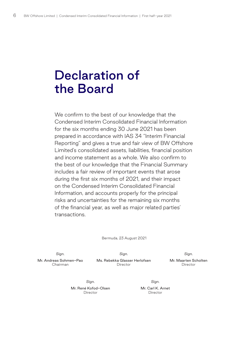# Declaration of the Board

We confirm to the best of our knowledge that the Condensed Interim Consolidated Financial Information for the six months ending 30 June 2021 has been prepared in accordance with IAS 34 "Interim Financial Reporting" and gives a true and fair view of BW Offshore Limited's consolidated assets, liabilities, financial position and income statement as a whole. We also confirm to the best of our knowledge that the Financial Summary includes a fair review of important events that arose during the first six months of 2021, and their impact on the Condensed Interim Consolidated Financial Information, and accounts properly for the principal risks and uncertainties for the remaining six months of the financial year, as well as major related parties' transactions.

Bermuda, 23 August 2021

*Sign.* 

Mr. Andreas Sohmen-Pao Chairman

*Sign.*  Ms. Rebekka Glasser Herlofsen Director

*Sign.* 

Mr. Maarten Scholten Director

*Sign.* 

Mr. René Kofod-Olsen Director

*Sign.* 

Mr. Carl K. Arnet Director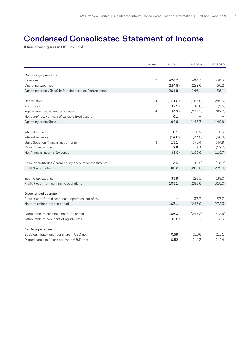# Condensed Consolidated Statement of Income

|                                                           | Notes          | 1H 2021 | 1H 2020           | FY 2020 |
|-----------------------------------------------------------|----------------|---------|-------------------|---------|
| Continuing operations                                     |                |         |                   |         |
| Revenues                                                  | $\overline{2}$ | 426.7   | 468.7             | 886.3   |
| Operating expenses                                        |                | (224.8) | (222.6)           | (450.2) |
| Operating profit /(loss) before depreciation/amortisation |                | 201.9   | 246.1             | 436.1   |
| Depreciation                                              | 4              | (131.0) | (157.9)           | (282.5) |
| Amortisation                                              | 5              | (2.2)   | (0.8)             | (1.5)   |
| Impairment vessels and other assets                       | 4              | (4.2)   | (233.1)           | (292.7) |
| Net gain/(loss) on sale of tangible fixed assets          |                | 0.1     | $\qquad \qquad -$ |         |
| Operating profit/(loss)                                   |                | 64.6    | (145.7)           | (140.6) |
|                                                           |                |         |                   |         |
| Interest income                                           |                | 0.1     | 0.5               | 0.5     |
| Interest expense                                          |                | (24.8)  | (33.0)            | (58.6)  |
| Gain/(loss) on financial instruments                      | 3              | 13.1    | (76.4)            | (44.9)  |
| Other financial items                                     |                | 2.6     | 2.3               | (12.7)  |
| Net financial income/(expense)                            |                | (9.0)   | (106.6)           | (115.7) |
| Share of profit/(loss) from equity accounted investments  |                | 13.6    | (8.2)             | (15.7)  |
| Profit/(loss) before tax                                  |                | 69.2    | (260.5)           | (272.0) |
| Income tax expense                                        |                | 33.9    | (21.1)            | (38.0)  |
| Profit/(loss) from continuing operations                  |                | 103.1   | (281.6)           | (310.0) |
|                                                           |                |         |                   |         |
| Discontinued operation                                    |                |         |                   |         |
| Profit/(loss) from discontinued operation, net of tax     |                |         | 37.7              | 37.7    |
| Net profit/(loss) for the period                          |                | 103.1   | (243.9)           | (272.3) |
| Attributable to shareholders of the parent                |                | 106.0   | (245.2)           | (272.6) |
| Attributable to non-controlling interests                 |                | (2.9)   | 1.3               | 0.3     |
|                                                           |                |         |                   |         |
| Earnings per share                                        |                |         |                   |         |
| Basic earnings/(loss) per share in USD net                |                | 0.59    | (1.36)            | (1.51)  |
| Diluted earnings/(loss) per share (USD) net               |                | 0.52    | (1.13)            | (1.24)  |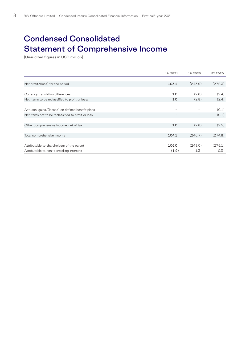# Condensed Consolidated Statement of Comprehensive Income

|                                                     | 1H 2021         | 1H 2020 | FY 2020 |
|-----------------------------------------------------|-----------------|---------|---------|
|                                                     |                 |         |         |
| Net profit/(loss) for the period                    | 103.1           | (243.9) | (272.3) |
|                                                     |                 |         |         |
| Currency translation differences                    | 1.0             | (2.8)   | (2.4)   |
| Net items to be reclassified to profit or loss:     | 1.0             | (2.8)   | (2.4)   |
|                                                     |                 |         |         |
| Actuarial gains/(losses) on defined benefit plans   | -               |         | (0.1)   |
| Net items not to be reclassified to profit or loss: | $\qquad \qquad$ |         | (0.1)   |
|                                                     |                 |         |         |
| Other comprehensive income, net of tax              | 1.0             | (2.8)   | (2.5)   |
|                                                     |                 |         |         |
| Total comprehensive income                          | 104.1           | (246.7) | (274.8) |
|                                                     |                 |         |         |
| Attributable to shareholders of the parent          | 106.0           | (248.0) | (275.1) |
| Attributable to non-controlling interests           | (1.9)           | 1.3     | 0.3     |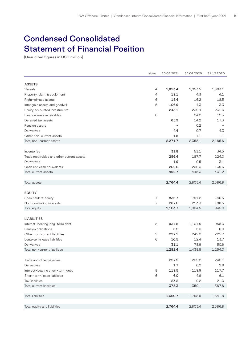# Condensed Consolidated Statement of Financial Position

|                                            | Notes          | 30.06.2021 | 30.06.2020 | 31.12.2020 |
|--------------------------------------------|----------------|------------|------------|------------|
|                                            |                |            |            |            |
| <b>ASSETS</b>                              |                |            |            |            |
| Vessels                                    | 4              | 1,813.4    | 2,053.5    | 1,893.1    |
| Property, plant & equipment                | $\overline{4}$ | 19.1       | 4.3        | 4.1        |
| Right-of-use assets                        | 6              | 15.4       | 16.2       | 18.5       |
| Intangible assets and goodwill             | 5              | 106.9      | 4.3        | 3.3        |
| Equity accounted investments               |                | 245.1      | 239.4      | 231.6      |
| Finance lease receivables                  | 6              |            | 24.2       | 12.3       |
| Deferred tax assets                        |                | 65.9       | 14.2       | 17.3       |
| Pension assets                             |                |            | 0.2        |            |
| Derivatives                                |                | 4.4        | 0.7        | 4.3        |
| Other non-current assets                   |                | 1.5        | 1.1        | 1.1        |
| Total non-current assets                   |                | 2,271.7    | 2,358.1    | 2,185.6    |
|                                            |                |            |            |            |
| Inventories                                |                | 31.8       | 51.1       | 34.5       |
| Trade receivables and other current assets |                | 256.4      | 187.7      | 224.0      |
| Derivatives                                |                | 1.9        | 0.5        | 3.1        |
| Cash and cash equivalents                  |                | 202.6      | 206.0      | 139.6      |
| Total current assets                       |                | 492.7      | 445.3      | 401.2      |
|                                            |                |            |            |            |
| Total assets                               |                | 2,764.4    | 2,803.4    | 2,586.8    |
|                                            |                |            |            |            |
| <b>EQUITY</b>                              |                |            |            |            |
| Shareholders' equity                       | 7              | 836.7      | 791.2      | 746.5      |
| Non-controlling interests                  | $\overline{7}$ | 267.0      | 213.3      | 198.5      |
| Total equity                               |                | 1,103.7    | 1,004.5    | 945.0      |
|                                            |                |            |            |            |
| <b>LIABILITIES</b>                         |                |            |            |            |
| Interest-bearing long-term debt            | 8              | 937.5      | 1,101.5    | 958.0      |
| Pension obligations                        |                | 6.2        | 5.0        | 6.0        |
| Other non-current liabilities              | 9              | 297.1      | 242.0      | 225.7      |
| Long-term lease liabilities                | 6              | 10.5       | 12.4       | 13.7       |
| Derivatives                                |                | 31.1       | 78.9       | 50.6       |
| Total non-current liabilities              |                | 1,282.4    | 1,439.8    | 1,254.0    |
|                                            |                |            |            |            |
| Trade and other payables                   |                | 227.9      | 209.2      | 240.1      |
| Derivatives                                |                | 1.7        | 6.2        | 2.9        |
| Interest-bearing short-term debt           | 8              | 119.5      | 119.9      | 117.7      |
| Short-term lease liabilities               | 6              | 6.0        | 4.6        | 6.1        |
| Tax liabilities                            |                | 23.2       | 19.2       | 21.0       |
| Total current liabilities                  |                | 378.3      | 359.1      | 387.8      |
|                                            |                |            |            |            |
| <b>Total liabilities</b>                   |                | 1,660.7    | 1,798.9    | 1,641.8    |
|                                            |                |            |            |            |
| Total equity and liabilities               |                | 2,764.4    | 2,803.4    | 2,586.8    |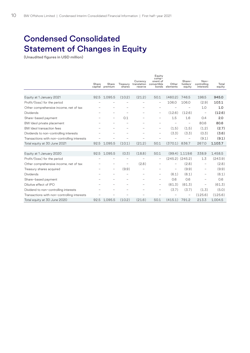# Condensed Consolidated Statement of Changes in Equity

|                                             | Share<br>capital | Share<br>premium         | Treasury<br>shares       | Currency<br>translation<br>reserve | Equity<br>comp-<br>onent of<br>convertible<br>bonds | Other<br>elements        | Share-<br>holders'<br>equity | Non-<br>controlling<br>interests | Total<br>equity |
|---------------------------------------------|------------------|--------------------------|--------------------------|------------------------------------|-----------------------------------------------------|--------------------------|------------------------------|----------------------------------|-----------------|
|                                             |                  |                          |                          |                                    |                                                     |                          |                              |                                  |                 |
| Equity at 1 January 2021                    | 92.5             | 1,095.5                  | (10.2)                   | (21.2)                             | 50.1                                                | (460.2)                  | 746.5                        | 198.5                            | 945.0           |
| Profit/(loss) for the period                |                  |                          |                          | $\overline{\phantom{0}}$           | $\overline{\phantom{m}}$                            | 106.0                    | 106.0                        | (2.9)                            | 103.1           |
| Other comprehensive income, net of tax      |                  |                          |                          |                                    |                                                     |                          |                              | 1.0                              | 1.0             |
| <b>Dividends</b>                            |                  | $\overline{\phantom{0}}$ | $\overline{\phantom{0}}$ |                                    | $\overline{\phantom{m}}$                            | (12.6)                   | (12.6)                       | $\overline{\phantom{a}}$         | (12.6)          |
| Share-based payment                         |                  | $\qquad \qquad -$        | 0.1                      |                                    | $\overline{\phantom{m}}$                            | 1.5                      | 1.6                          | 0.4                              | 2.0             |
| BW Ideol private placement                  |                  |                          |                          |                                    | $\qquad \qquad -$                                   |                          | $\overline{\phantom{a}}$     | 80.6                             | 80.6            |
| BW Ideol transaction fees                   |                  |                          |                          |                                    | $\overline{\phantom{a}}$                            | (1.5)                    | (1.5)                        | (1.2)                            | (2.7)           |
| Dividends to non-controlling interests      |                  |                          |                          |                                    | $\overline{\phantom{m}}$                            | (3.3)                    | (3.3)                        | (0.3)                            | (3.6)           |
| Transactions with non-controlling interests |                  |                          |                          |                                    |                                                     |                          |                              | (9.1)                            | (9.1)           |
| Total equity at 30 June 2021                | 92.5             | 1.095.5                  | (10.1)                   | (21.2)                             | 50.1                                                | (370.1)                  | 836.7                        | 267.0                            | 1,103.7         |
|                                             |                  |                          |                          |                                    |                                                     |                          |                              |                                  |                 |
| Equity at 1 January 2020                    | 92.5             | 1,095.5                  | (0.3)                    | (18.8)                             | 50.1                                                |                          | (99.4) 1.119.6               | 338.9                            | 1,458.5         |
| Profit/(loss) for the period                |                  |                          | -                        | -                                  | $\overline{\phantom{0}}$                            |                          | $(245.2)$ $(245.2)$          | 1.3                              | (243.9)         |
| Other comprehensive income, net of tax      |                  | -                        | $\overline{\phantom{m}}$ | (2.8)                              | $\overline{\phantom{m}}$                            | -                        | (2.8)                        | $\overline{\phantom{a}}$         | (2.8)           |
| Treasury shares acquired                    |                  | $\overline{\phantom{a}}$ | (9.9)                    |                                    | $\overline{\phantom{m}}$                            | $\overline{\phantom{0}}$ | (9.9)                        | $\overline{\phantom{m}}$         | (9.9)           |
| <b>Dividends</b>                            |                  | $\overline{\phantom{m}}$ | $\overline{\phantom{0}}$ | $\overline{\phantom{m}}$           | $\qquad \qquad -$                                   | (6.1)                    | (6.1)                        | $\overline{\phantom{m}}$         | (6.1)           |
| Share-based payment                         |                  |                          | -                        | $\overline{\phantom{0}}$           | $\overline{\phantom{m}}$                            | 0.6                      | 0.6                          | $\overline{\phantom{0}}$         | 0.6             |
| Dilutive effect of IPO                      |                  |                          |                          |                                    | $\overline{\phantom{0}}$                            | (61.3)                   | (61.3)                       | $\overline{\phantom{a}}$         | (61.3)          |
| Dividend to non-controlling interests       |                  |                          |                          |                                    | $\overline{\phantom{m}}$                            | (3.7)                    | (3.7)                        | (1.3)                            | (5.0)           |
| Transactions with non-controlling interests |                  |                          |                          |                                    |                                                     |                          | -                            | (125.6)                          | (125.6)         |
| Total equity at 30 June 2020                | 92.5             | 1,095.5                  | (10.2)                   | (21.6)                             | 50.1                                                | (415.1)                  | 791.2                        | 213.3                            | 1,004.5         |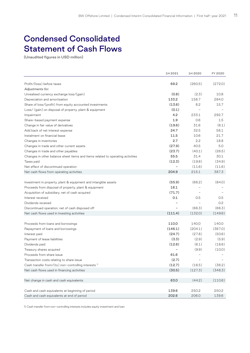# Condensed Consolidated Statement of Cash Flows

(Unaudited figures in USD million)

|                                                                                | 1H 2021                  | 1H 2020 | FY 2020 |
|--------------------------------------------------------------------------------|--------------------------|---------|---------|
|                                                                                |                          |         |         |
| Profit/(loss) before taxes                                                     | 69.2                     | (260.5) | (272.0) |
| Adjustments for:                                                               |                          |         |         |
| Unrealised currency exchange loss/(gain)                                       | (0.8)                    | (2.3)   | 10.8    |
| Depreciation and amortisation                                                  | 133.2                    | 158.7   | 284.0   |
| Share of loss/(profit) from equity accounted investments                       | (13.6)                   | 8.2     | 15.7    |
| Loss/ (gain) on disposal of property, plant & equipment                        | (0.1)                    |         |         |
| Impairment                                                                     | 4.2                      | 233.1   | 292.7   |
| Share-based payment expense                                                    | 1.9                      | 0.6     | 1.5     |
| Change in fair value of derivatives                                            | (19.6)                   | 31.6    | (6.1)   |
| Add back of net interest expense                                               | 24.7                     | 32.5    | 58.1    |
| Instalment on financial lease                                                  | 11.5                     | 10.6    | 21.7    |
| Changes in inventories                                                         | 2.7                      | 2.2     | 18.8    |
| Changes in trade and other current assets                                      | (27.9)                   | 40.5    | 5.0     |
| Changes in trade and other payables                                            | (23.7)                   | (40.1)  | (26.5)  |
| Changes in other balance sheet items and items related to operating activities | 55.5                     | 31.4    | 30.1    |
| Taxes paid                                                                     | (12.3)                   | (19.8)  | (34.9)  |
| Net effect of discontinued operation                                           |                          | (11.6)  | (11.6)  |
| Net cash flows from operating activities                                       | 204.9                    | 215.1   | 387.3   |
|                                                                                |                          |         |         |
| Investment in property, plant & equipment and intangible assets                | (55.9)                   | (66.2)  | (84.0)  |
| Proceeds from disposal of property, plant & equipment                          | 16.1                     |         |         |
| Acquisition of subsidiary, net of cash acquired                                | (71.7)                   |         |         |
| Interest received                                                              | 0.1                      | 0.5     | 0.5     |
| Dividends received                                                             |                          |         | 0.2     |
| Discontinued operation, net of cash disposed off                               | $\overline{\phantom{0}}$ | (66.3)  | (66.3)  |
| Net cash flows used in investing activities                                    | (111.4)                  | (132.0) | (149.6) |
|                                                                                |                          |         |         |
| Proceeds from loans and borrowings                                             | 110.0                    | 140.0   | 140.0   |
| Repayment of loans and borrowings                                              | (146.1)                  | (204.1) | (367.0) |
| Interest paid                                                                  | (24.7)                   | (27.8)  | (50.6)  |
| Payment of lease liabilities                                                   | (3.3)                    | (2.9)   | (5.9)   |
| Dividends paid                                                                 | (12.6)                   | (6.1)   | (18.6)  |
| Treasury shares acquired                                                       |                          | (9.9)   | (10.0)  |
| Proceeds from share issue                                                      | 61.6                     |         |         |
| Transaction costs relating to share issue                                      | (2.7)                    |         |         |
| Cash transfer from/(to) non-controlling interests <sup>1)</sup>                | (12.7)                   | (16.5)  | (36.2)  |
| Net cash flows used in financing activities                                    | (30.5)                   | (127.3) | (348.3) |
|                                                                                |                          |         |         |
| Net change in cash and cash equivalents                                        | 63.0                     | (44.2)  | (110.6) |
|                                                                                |                          |         |         |
| Cash and cash equivalents at beginning of period                               | 139.6                    | 250.2   | 250.2   |
| Cash and cash equivalents at end of period                                     | 202.6                    | 206.0   | 139.6   |

1) Cash transfer from non-controlling interests includes equity investment and loan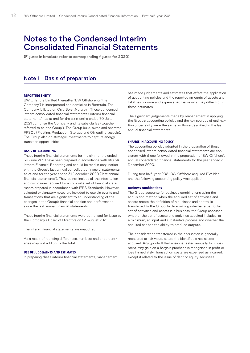# Notes to the Condensed Interim Consolidated Financial Statements

(Figures in brackets refer to corresponding figures for 2020)

### Note 1 Basis of preparation

#### **REPORTING ENTITY**

BW Offshore Limited (hereafter 'BW Offshore' or 'the Company') is incorporated and domiciled in Bermuda. The Company is listed on Oslo Børs (Norway). These condensed interim consolidated financial statements ('interim financial statements') as at and for the six months ended 30 June 2021 comprise the Company and its subsidiaries (together referred to as 'the Group'). The Group build, owns and operates FPSOs (Floating, Production, Storage and Offloading vessels). The Group also do strategic investments to capture energy transition opportunities.

#### **BASIS OF ACCOUNTING**

These interim financial statements for the six months ended 30 June 2021 have been prepared in accordance with IAS 34 Interim Financial Reporting and should be read in conjunction with the Group's last annual consolidated financial statements as at and for the year ended 31 December 2020 ('last annual financial statements'). They do not include all the information and disclosures required for a complete set of financial statements prepared in accordance with IFRS Standards. However, selected explanatory notes are included to explain events and transactions that are significant to an understanding of the changes in the Group's financial position and performance since the last annual financial statements.

These interim financial statements were authorised for issue by the Company's Board of Directors on 23 August 2021.

The interim financial statements are unaudited.

As a result of rounding differences, numbers and or percentages may not add up to the total.

#### **USE OF JUDGEMENTS AND ESTIMATES**

In preparing these interim financial statements, management

has made judgements and estimates that affect the application of accounting policies and the reported amounts of assets and liabilities, income and expense. Actual results may differ from these estimates.

The significant judgements made by management in applying the Group's accounting policies and the key sources of estimation uncertainty were the same as those described in the last annual financial statements.

#### **CHANGE IN ACCOUNTING POLICY**

The accounting policies adopted in the preparation of these condensed interim consolidated financial statements are consistent with those followed in the preparation of BW Offshore's annual consolidated financial statements for the year ended 31 December 2020.

During first half-year 2021 BW Offshore acquired BW Ideol and the following accounting policy was applied.

#### **Business combinations**

The Group accounts for business combinations using the acquisition method when the acquired set of activities and assets meets the definition of a business and control is transferred to the Group. In determining whether a particular set of activities and assets is a business, the Group assesses whether the set of assets and activities acquired includes, at a minimum, an input and substantive process and whether the acquired set has the ability to produce outputs.

The consideration transferred in the acquisition is generally measured at fair value, as are the identifiable net assets acquired. Any goodwill that arises is tested annually for impairment. Any gain on a bargain purchase is recognised in profit or loss immediately. Transaction costs are expensed as incurred, except if related to the issue of debt or equity securities.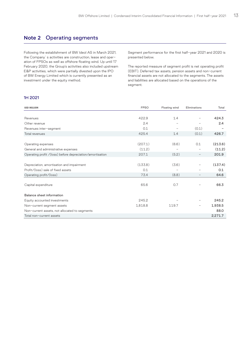# Note 2 Operating segments

Following the establishment of BW Ideol AS in March 2021, the Company`s activities are construction, lease and operation of FPSOs as well as offshore floating wind. Up until 17 February 2020, the Group's activities also included upstream E&P activities, which were partially divested upon the IPO of BW Energy Limited which is currently presented as an investment under the equity method.

Segment performance for the first half-year 2021 and 2020 is presented below.

The reported measure of segment profit is net operating profit (EBIT). Deferred tax assets, pension assets and non-current financial assets are not allocated to the segments. The assets and liabilities are allocated based on the operations of the segment.

#### 1H 2021

| <b>USD MILLION</b>                                        | <b>FPSO</b> | Floating wind | Eliminations             | Total   |
|-----------------------------------------------------------|-------------|---------------|--------------------------|---------|
|                                                           |             |               |                          |         |
| Revenues                                                  | 422.9       | 1.4           |                          | 424.3   |
| Other revenue                                             | 2.4         |               | $\overline{\phantom{0}}$ | 2.4     |
| Revenues inter-segment                                    | 0.1         |               | (0.1)                    |         |
| Total revenues                                            | 425.4       | 1.4           | (0.1)                    | 426.7   |
|                                                           |             |               |                          |         |
| Operating expenses                                        | (207.1)     | (6.6)         | 0.1                      | (213.6) |
| General and administrative expenses                       | (11.2)      |               |                          | (11.2)  |
| Operating profit /(loss) before depreciation/amortisation | 207.1       | (5.2)         |                          | 201.9   |
|                                                           |             |               |                          |         |
| Depreciation, amortisation and impairment                 | (133.8)     | (3.6)         | -                        | (137.4) |
| Profit/(loss) sale of fixed assets                        | 0.1         |               |                          | 0.1     |
| Operating profit/(loss)                                   | 73.4        | (8.8)         | $\qquad \qquad -$        | 64.6    |
|                                                           |             |               |                          |         |
| Capital expenditure                                       | 65.6        | 0.7           |                          | 66.3    |
|                                                           |             |               |                          |         |
| Balance sheet information                                 |             |               |                          |         |
| Equity accounted investments                              | 245.2       |               |                          | 245.2   |
| Non-current segment assets                                | 1,818.8     | 119.7         | -                        | 1,938.5 |
| Non-current assets, not allocated to segments             |             |               |                          | 88.0    |
| Total non-current assets                                  |             |               |                          | 2,271.7 |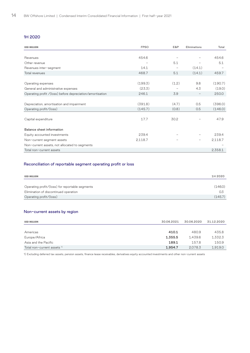### 1H 2020

| <b>USD MILLION</b>                                        | <b>FPSO</b> | E&P   | Eliminations | Total   |
|-----------------------------------------------------------|-------------|-------|--------------|---------|
|                                                           |             |       |              |         |
| Revenues                                                  | 454.6       |       |              | 454.6   |
| Other revenue                                             |             | 5.1   |              | 5.1     |
| Revenues inter-segment                                    | 14.1        |       | (14.1)       |         |
| Total revenues                                            | 468.7       | 5.1   | (14.1)       | 459.7   |
|                                                           |             |       |              |         |
| Operating expenses                                        | (199.3)     | (1.2) | 9.8          | (190.7) |
| General and administrative expenses                       | (23.3)      |       | 4.3          | (19.0)  |
| Operating profit /(loss) before depreciation/amortisation | 246.1       | 3.9   | -            | 250.0   |
|                                                           |             |       |              |         |
| Depreciation, amortisation and impairment                 | (391.8)     | (4.7) | 0.5          | (396.0) |
| Operating profit/(loss)                                   | (145.7)     | (0.8) | 0.5          | (146.0) |
|                                                           |             |       |              |         |
| Capital expenditure                                       | 17.7        | 30.2  |              | 47.9    |
|                                                           |             |       |              |         |
| Balance sheet information                                 |             |       |              |         |
| Equity accounted investments                              | 239.4       |       |              | 239.4   |
| Non-current segment assets                                | 2,118.7     |       | -            | 2,118.7 |
| Non-current assets, not allocated to segments             |             |       |              |         |
| Total non-current assets                                  |             |       |              | 2,358.1 |

### Reconciliation of reportable segment operating profit or loss

| <b>USD MILLION</b>                              | 1H 2020 |
|-------------------------------------------------|---------|
|                                                 |         |
| Operating profit/(loss) for reportable segments | (146.0) |
| Elimination of discontinued operation           | 0.3     |
| Operating profit/(loss)                         | (145.7) |

#### Non-current assets by region

| <b>USD MILLION</b>                     | 30.06.2021 | 30.06.2020 | 31.12.2020 |
|----------------------------------------|------------|------------|------------|
|                                        |            |            |            |
| Americas                               | 410.1      | 480.9      | 435.8      |
| Europe/Africa                          | 1,355.5    | 1.439.6    | 1,332.3    |
| Asia and the Pacific                   | 189.1      | 157.8      | 150.9      |
| Total non-current assets <sup>1)</sup> | 1.954.7    | 2.078.3    | 1,919.0    |

1) Excluding deferred tax assets, pension assets, finance lease receivables, derivatives equity accounted investments and other non-current assets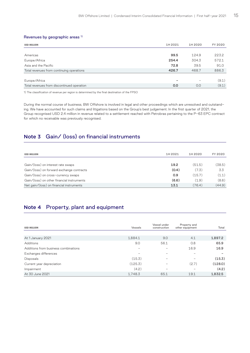#### Revenues by geographic areas<sup>1)</sup>

| <b>USD MILLION</b>                         | 1H 2021                  | 1H 2020 | FY 2020 |
|--------------------------------------------|--------------------------|---------|---------|
|                                            |                          |         |         |
| Americas                                   | 99.5                     | 124.9   | 223.2   |
| Europe/Africa                              | 254.4                    | 304.3   | 572.1   |
| Asia and the Pacific                       | 72.8                     | 39.5    | 91.0    |
| Total revenues from continuing operations  | 426.7                    | 468.7   | 886.3   |
|                                            |                          |         |         |
| Europe/Africa                              | $\overline{\phantom{0}}$ | -       | (9.1)   |
| Total revenues from discontinued operation | 0.0                      | O.O     | (9.1)   |

1) The classification of revenue per region is determined by the final destination of the FPSO

During the normal course of business, BW Offshore is involved in legal and other proceedings which are unresolved and outstanding. We have accounted for such claims and litigations based on the Group's best judgement. In the first quarter of 2021, the Group recognised USD 2.4 million in revenue related to a settlement reached with Petrobras pertaining to the P-63 EPC contract for which no receivable was previously recognised.

# Note 3 Gain/ (loss) on financial instruments

| <b>USD MILLION</b>                         | 1H 2021 | 1H 2020 | FY 2020 |
|--------------------------------------------|---------|---------|---------|
| Gain/(loss) on interest rate swaps         | 19.2    | (51.5)  | (38.5)  |
| Gain/(loss) on forward exchange contracts  | (0.4)   | (7.3)   | 3.3     |
| Gain/(loss) on cross-currency swaps        | O.9     | (15.7)  | (1.1)   |
| Gain/(loss) on other financial instruments | (6.6)   | (1.9)   | (8.6)   |
| Net gain/(loss) on financial instruments   | 13.1    | (76.4)  | (44.9)  |

# Note 4 Property, plant and equipment

| <b>USD MILLION</b>                   | Vessels | Vessel under<br>construction | Property and<br>other equipment | Total   |
|--------------------------------------|---------|------------------------------|---------------------------------|---------|
|                                      |         |                              |                                 |         |
| At 1 January 2021                    | 1,884.1 | 9.0                          | 4.1                             | 1,897.2 |
| Additions                            | 9.0     | 56.1                         | 0.8                             | 65.9    |
| Additions from business combinations | -       |                              | 16.9                            | 16.9    |
| Exchanges differences                | -       |                              |                                 |         |
| Disposals                            | (15.3)  |                              |                                 | (15.3)  |
| Current year depreciation            | (125.3) |                              | (2.7)                           | (128.0) |
| Impairment                           | (4.2)   |                              |                                 | (4.2)   |
| At 30 June 2021                      | 1,748.3 | 65.1                         | 19.1                            | 1,832.5 |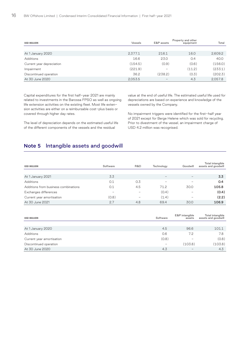| <b>USD MILLION</b>        | Vessels | E&P assets               | Property and other<br>equipment | Total   |
|---------------------------|---------|--------------------------|---------------------------------|---------|
|                           |         |                          |                                 |         |
| At 1 January 2020         | 2,377.1 | 216.1                    | 16.0                            | 2,609.2 |
| Additions                 | 16.6    | 23.0                     | O.4                             | 40.0    |
| Current year depreciation | (154.5) | (0.9)                    | (0.6)                           | (156.0) |
| Impairment                | (221.9) | $\overline{\phantom{a}}$ | (11.2)                          | (233.1) |
| Discontinued operation    | 36.2    | (238.2)                  | (0.3)                           | (202.3) |
| At 30 June 2020           | 2,053.5 | $\overline{\phantom{a}}$ | 4.3                             | 2,057.8 |

Capital expenditures for the first half-year 2021 are mainly related to investments in the Barossa FPSO as well as ongoing life extension activities on the existing fleet. Most life extension activities are either on a reimbursable cost-plus basis or covered through higher day rates.

The level of depreciation depends on the estimated useful life of the different components of the vessels and the residual

value at the end of useful life. The estimated useful life used for depreciations are based on experience and knowledge of the vessels owned by the Company.

No impairment triggers were identified for the first-half year of 2021 except for Berge Helene which was sold for recycling. Prior to divestment of the vessel, an impairment charge of USD 4.2 million was recognised.

# Note 5 Intangible assets and goodwill

| <b>USD MILLION</b>                   | Software | R&D | Technology               | Goodwill | Total intangible<br>assets and goodwill |
|--------------------------------------|----------|-----|--------------------------|----------|-----------------------------------------|
|                                      |          |     |                          |          |                                         |
| At 1 January 2021                    | 3.3      |     | -                        |          | 3.3                                     |
| Additions                            | 0.1      | 0.3 | $\overline{\phantom{a}}$ |          | 0.4                                     |
| Additions from business combinations | 0.1      | 4.5 | 71.2                     | 30.0     | 105.8                                   |
| Exchanges differences                |          |     | (0.4)                    |          | (0.4)                                   |
| Current year amortisation            | (0.8)    |     | (1.4)                    |          | (2.2)                                   |
| At 30 June 2021                      | 2.7      | 4.8 | 69.4                     | 30.0     | 106.9                                   |

| <b>USD MILLION</b>        | Software                 | E&P intangible<br>assets | Total intangible<br>assets and goodwill |
|---------------------------|--------------------------|--------------------------|-----------------------------------------|
|                           |                          |                          |                                         |
| At 1 January 2020         | 4.5                      | 96.6                     | 101.1                                   |
| Additions                 | 0.6                      | 7.2                      | 7.8                                     |
| Current year amortisation | (0.8)                    | ۰                        | (0.8)                                   |
| Discontinued operation    | $\overline{\phantom{a}}$ | (103.8)                  | (103.8)                                 |
| At 30 June 2020           | 4.3                      | $\overline{\phantom{a}}$ | 4.3                                     |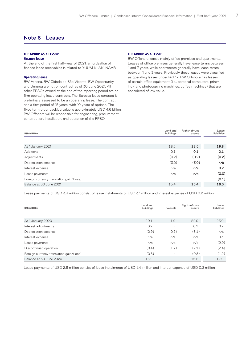### Note 6 Leases

#### **THE GROUP AS A LESSOR**

#### **Finance lease**

At the end of the first half-year of 2021, amortisation of finance lease receivables is related to YÙUM K`AK`NÀAB.

#### **Operating lease**

BW Athena, BW Cidade de São Vicente, BW Opportunity and Umuroa are not on contract as of 30 June 2021. All other FPSOs owned at the end of the reporting period are on firm operating lease contracts. The Barossa lease contract is preliminary assessed to be an operating lease. The contract has a firm period of 15 years, with 10 years of options. The fixed term order backlog value is approximately USD 4.6 billion. BW Offshore will be responsible for engineering, procurement, construction, installation, and operation of the FPSO.

#### **THE GROUP AS A LESSEE**

BW Offshore leases mainly office premises and apartments. Leases of office premises generally have lease terms between 1 and 7 years, while apartments generally have lease terms between 1 and 3 years. Previously these leases were classified as operating leases under IAS 17. BW Offshore has leases of certain office equipment (i.e., personal computers, printing- and photocopying machines, coffee machines) that are considered of low value.

| <b>USD MILLION</b>                       | Land and<br>buildings    | Right-of-use<br>assets   | Lease<br>liabilities |
|------------------------------------------|--------------------------|--------------------------|----------------------|
|                                          |                          |                          |                      |
| At 1 January 2021                        | 18.5                     | 18.5                     | 19.8                 |
| Additions                                | 0.1                      | 0.1                      | 0.1                  |
| Adjustments                              | (0.2)                    | (0.2)                    | (0.2)                |
| Depreciation expense                     | (3.0)                    | (3.0)                    | n/a                  |
| Interest expense                         | n/a                      | n/a                      | 0.2 <sub>0</sub>     |
| Lease payments                           | n/a                      | n/a                      | (3.3)                |
| Foreign currency translation gain/(loss) | $\overline{\phantom{a}}$ | $\overline{\phantom{0}}$ | (0.1)                |
| Balance at 30 June 2021                  | 15.4                     | 15.4                     | 16.5                 |

Lease payments of USD 3.3 million consist of lease instalments of USD 3.1 million and interest expense of USD 0.2 million.

| <b>USD MILLION</b>                       | Land and<br>buildings | Vessels                      | Right-of-use<br>assets | Lease<br>liabilities |
|------------------------------------------|-----------------------|------------------------------|------------------------|----------------------|
|                                          |                       |                              |                        |                      |
| At 1 January 2020                        | 20.1                  | 1.9                          | 22.0                   | 23.0                 |
| Interest adjustments                     | 0.2                   |                              | 0.2                    | 0.2                  |
| Depreciation expense                     | (2.9)                 | (0.2)                        | (3.1)                  | n/a                  |
| Interest expense                         | n/a                   | n/a                          | n/a                    | 0.3                  |
| Lease payments                           | n/a                   | n/a                          | n/a                    | (2.9)                |
| Discontinued operation                   | (0.4)                 | (1.7)                        | (2.1)                  | (2.4)                |
| Foreign currency translation gain/(loss) | (0.8)                 |                              | (0.8)                  | (1.2)                |
| Balance at 30 June 2020                  | 16.2                  | $\qquad \qquad \blacksquare$ | 16.2                   | 17.0                 |

Lease payments of USD 2.9 million consist of lease instalments of USD 2.6 million and interest expense of USD 0.3 million.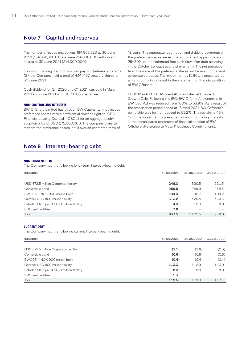### Note 7 Capital and reserves

The number of issued shares was 184,956,320 at 30 June 2021 (184,956,320). There were 214,000,000 authorised shares at 30 June 2021 (214,000,000).

Following the long-term bonus plan pay out (reference to Note 12), the Company held a total of 4,141,437 treasury shares at 30 June 2021.

Cash dividend for Q4 2020 and Q1 2021 was paid in March 2021 and June 2021 with USD 0,035 per share.

#### **NON-CONTROLLING INTERESTS**

BW Offshore Limited has through BW Catcher Limited issued preference shares with a preferential dividend right to ICBC Financial Leasing Co., Ltd. (ICBCL) for an aggregate subscription price of USD 275,000,000. The company plans to redeem the preference shares in full over an estimated term of 12 years. The aggregate redemption and dividend payments on the preference shares are estimated to reflect approximately 25-30% of the estimated free cash flow after debt servicing in the Catcher contract over a similar term. The net proceeds from the issue of the preference shares will be used for general corporate purposes. The investment by ICBCL is presented as a non-controlling interest in the statement of financial position of BW Offshore.

On 12 March 2021, BW Ideol AS was listed at Euronext Growth Oslo. Following the IPO, BW Offshore's ownership in BW Ideol AS was reduced from 100% to 53.9%. As a result of the stabilisation period ended at 16 April 2021, BW Offshore's ownership was further reduced to 53.2%. The remaining 46.8 % of the investment is presented as non-controlling interests in the consolidated statement of financial position of BW Offshore (Reference to Note 11 Business Combinations).

## Note 8 Interest-bearing debt

#### **NON-CURRENT DEBT**

The Company had the following long-term interest-bearing debt:

| <b>USD MILLION</b>                       | 30.06.2021 | 30.06.2020 | 31.12.2020 |
|------------------------------------------|------------|------------|------------|
|                                          |            |            |            |
| USD 672.5 million Corporate facility     | 249.0      | 320.5      | 221.5      |
| Convertible bond                         | 259.5      | 249.9      | 254.5      |
| BWO05 - NOK 900 million bond             | 104.0      | 92.7       | 104.2      |
| Catcher USD 800 million facility         | 313.2      | 426.4      | 369.8      |
| Petróleo Nautipa USD 80 million facility | 4.0        | 12.0       | 8.0        |
| <b>BW</b> Ideol facilities               | 7.8        |            |            |
| Total                                    | 937.5      | 1.101.5    | 958.0      |

#### **CURRENT DEBT**

The Company had the following current interest-bearing debt:

| <b>USD MILLION</b>                       | 30.06.2021 | 30.06.2020 | 31.12.2020 |
|------------------------------------------|------------|------------|------------|
|                                          |            |            |            |
| USD 672.5 million Corporate facility     | (2.1)      | (1.8)      | (2.3)      |
| Convertible bond                         | (0.6)      | (0.6)      | (0.6)      |
| BWO05 - NOK 900 million bond             | (0.4)      | (0.4)      | (0.4)      |
| Catcher USD 800 million facility         | 113.3      | 112.9      | 113.0      |
| Petróleo Nautipa USD 80 million facility | 8.0        | 9.8        | 8.0        |
| BW Ideol facilities                      | 1.3        |            |            |
| Total                                    | 119.5      | 119.9      | 117.7      |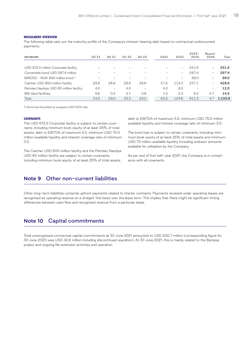#### **INSTALMENT OVERVIEW**

The following table sets out the maturity profile of the Company's interest-bearing debt based on contractual undiscounted payments.

| <b>USD MILLION</b>                       | Q3 21 | Q4 21             | Q1 22 | Q <sub>2</sub> 2 <sub>2</sub> | 2021 | 2022                     | $2023 -$<br>2025 | Beyond<br>2026           | Total   |
|------------------------------------------|-------|-------------------|-------|-------------------------------|------|--------------------------|------------------|--------------------------|---------|
|                                          |       |                   |       |                               |      |                          |                  |                          |         |
| USD 672.5 million Corporate facility     |       |                   |       |                               |      | $\overline{\phantom{0}}$ | 251.6            | $\overline{\phantom{0}}$ | 251.6   |
| Convertible bond USD 297.4 million       |       |                   |       |                               |      | $\overline{\phantom{0}}$ | 297.4            | $\overline{\phantom{0}}$ | 297.4   |
| BWO05 - NOK 900 million bond $1$         |       |                   |       |                               |      | -                        | 99.0             | -                        | 99.0    |
| Catcher USD 800 million facility         | 28.6  | 28.6              | 28.6  | 28.6                          | 57.2 | 114.3                    | 257.1            | $\overline{\phantom{0}}$ | 428.6   |
| Petroleo Nautipa USD 80 million facility | 4.0   | $\qquad \qquad -$ | 4.0   | $\overline{\phantom{0}}$      | 4.0  | 8.0                      |                  | -                        | 12.0    |
| <b>BW</b> Ideol facilities               | 0.6   | 0.4               | 0.7   | 0.6                           | 1.0  | 2.3                      | 6.2              | 4.7                      | 14.2    |
| Total                                    | 33.2  | 29.0              | 33.3  | 29.2                          | 62.2 | 124.6                    | 911.3            | 4.7                      | 1.102.8 |

1) Bond loan illustrated at swapped USD/NOK rate

#### **COVENANTS**

The USD 672.5 Corporate facility is subject to certain covenants, including minimum book equity of at least 25% of total assets, debt to EBITDA of maximum 5.5, minimum USD 75.0 million available liquidity and interest coverage ratio of minimum 3.0.

The Catcher USD 800 million facility and the Petróleo Nautipa USD 80 million facility are subject to certain covenants, including minimum book equity of at least 25% of total assets,

debt to EBITDA of maximum 5.5, minimum USD 75.0 million available liquidity and interest coverage ratio of minimum 3.0.

The bond loan is subject to certain covenants, including minimum book equity of at least 25% of total assets and minimum USD 75 million available liquidity including undrawn amounts available for utilisation by the Company.

As per end of first half-year 2021, the Company is in compliance with all covenants.

# Note 9 Other non-current liabilities

Other long-term liabilities comprise upfront payments related to charter contracts. Payments received under operating leases are recognised as operating revenue on a straight-line basis over the lease term. This implies that there might be significant timing differences between cash flow and recognised revenue from a particular lease.

## Note 10 Capital commitments

Total unrecognised contractual capital commitments at 30 June 2021 amounted to USD 500.7 million (corresponding figure for 30 June 2020 was USD 42.6 million including discontinued operation). At 30 June 2021, this is mainly related to the Barossa project and ongoing life extension activities and operation.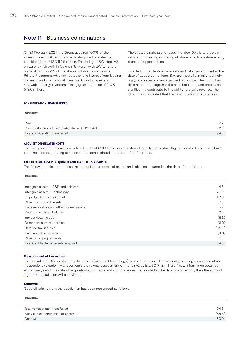# Note 11 Business combinations

On 21 February 2021, the Group acquired 100% of the shares in Ideol S.A., an offshore floating wind provider, for consideration of USD 94.5 million. The listing of BW Ideol AS on Euronext Growth in Oslo on 18 March with BW Offshore ownership of 53.2% of the shares followed a successful Private Placement which attracted strong interest from leading domestic and international investors, including specialist renewable energy investors, raising gross proceeds of NOK 519.6 million.

The strategic rationale for acquiring Ideol S.A. is to create a vehicle for investing in floating offshore wind to capture energy transition opportunities.

Included in the identifiable assets and liabilities acquired at the date of acquisition of Ideol S.A. are inputs (primarily technology), processes and an organised workforce. The Group has determined that together the acquired inputs and processes significantly contribute to the ability to create revenue. The Group has concluded that this is acquisition of a business.

#### **CONSIDERATION TRANSFERRED**

**USD MILLION**

**USD MILLION**

| Cash                                             | 62.2 |
|--------------------------------------------------|------|
| Contribution in kind (5,815,240 shares à NOK 47) | 32.3 |
| Total consideration transferred                  | 94.5 |

#### **ACQUISITION-RELATED COSTS**

The Group incurred acquisition-related costs of USD 1.3 million on external legal fees and due diligence costs. These costs have been included in operating expenses in the consolidated statement of profit or loss.

#### **IDENTIFIABLE ASSETS ACQUIRED AND LIABILITIES ASSUMED**

The following table summarises the recognised amounts of assets and liabilities assumed at the date of acquisition.

| <b>UJU MILLIVIY</b>                        |        |
|--------------------------------------------|--------|
|                                            |        |
| Intangible assets - R&D and software       | 4.6    |
| Intangible assets - Technology             | 71.2   |
| Property, plant & equipment                | 17.0   |
| Other non-current assets                   | 0.5    |
| Trade receivables and other current assets | 3.7    |
| Cash and cash equivalents                  | 2.5    |
| Interest-bearing debt                      | (8.8)  |
| Other non-current liabilities              | (8.0)  |
| Deferred tax liabilities                   | (15.7) |
| Trade and other payables                   | (4.0)  |
| Other timing adjustments                   | 1.5    |
| Total identifiable net assets acquired     | 64.5   |

#### **Measurement of fair values**

The fair value of BW Ideol's intangible assets (patented technology) has been measured provisionally, pending completion of an independent valuation. Management's provisional assessment of the fair value is USD 71.2 million. If new information obtained within one year of the date of acquisition about facts and circumstances that existed at the date of acquisition, then the accounting for the acquisition will be revised.

#### **GOODWILL**

Goodwill arising from the acquisition has been recognised as follows:

#### **USD MILLION**

| Total consideration transferred       | 94.5   |
|---------------------------------------|--------|
| Fair value of identifiable net assets | (64.5) |
| Goodwill                              | 30.0   |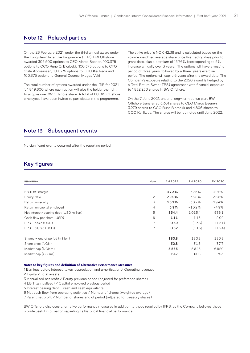## Note 12 Related parties

On the 26 February 2021, under the third annual award under the Long-Term Incentive Programme (LTIP), BW Offshore awarded 305.500 options to CEO Marco Beenen, 100.375 options to CCO Rune Ø. Bjorbekk, 100.375 options to CFO Ståle Andreassen, 100.375 options to COO Kei Ikeda and 100.375 options to General Counsel Magda Vakil.

The total number of options awarded under the LTIP for 2021 is 1,849,600 where each option will give the holder the right to acquire one BW Offshore share. A total of 60 BW Offshore employees have been invited to participate in the programme.

The strike price is NOK 42.38 and is calculated based on the volume weighted average share price five trading days prior to grant date, plus a premium of 15.76% (corresponding to 5% increase annually over 3 years). The options will have a vesting period of three years, followed by a three-years exercise period. The options will expire 6 years after the award date. The Company's exposure relating to the 2020 award is hedged by a Total Return Swap (TRS) agreement with financial exposure to 1,832,250 shares in BW Offshore.

On the 7 June 2021, under a long-term bonus plan, BW Offshore transferred 3,301 shares to CEO Marco Beenen, 3,279 shares to CCO Rune Bjorbekk and 4,806 shares to COO Kei Ikeda. The shares will be restricted until June 2022.

# Note 13 Subsequent events

No significant events occurred after the reporting period.

# Key figures

| <b>USD MILLION</b>                      | Note                  | 1H 2021 | 1H 2020  | FY 2020  |
|-----------------------------------------|-----------------------|---------|----------|----------|
|                                         |                       |         |          |          |
| EBITDA-margin                           | 1                     | 47.3%   | 52.5%    | 49.2%    |
| Equity ratio                            | $\mathbf{2}^{\prime}$ | 39.9%   | 35.8%    | 36.5%    |
| Return on equity                        | 3                     | 25.1%   | $-30.7%$ | $-19.4%$ |
| Return on capital employed              | 4                     | 5.9%    | $-10.2%$ | $-4.9%$  |
| Net interest-bearing debt (USD million) | 5                     | 854.4   | 1,015.4  | 936.1    |
| Cash flow per share (USD)               | 6                     | 1.11    | 1.16     | 2.09     |
| $EPS - basic (USD)$                     | 7                     | 0.59    | (1.36)   | (1.51)   |
| EPS - diluted (USD)                     | 7                     | 0.52    | (1.13)   | (1.24)   |
| Shares - end of period (million)        |                       | 180.8   | 180.8    | 180.8    |
| Share price (NOK)                       |                       | 30.8    | 31.6     | 37.7     |
| Market cap (NOKm)                       |                       | 5,565   | 5.845    | 6,820    |
| Market cap (USDm)                       |                       | 647     | 608      | 795      |

#### **Notes to key figures and definition of Alternative Performance Measures**

1 Earnings before interest, taxes, depreciation and amortisation / Operating revenues 2 Equity / Total assets

3 Annualised net profit / Equity previous period (adjusted for preference shares)

4 EBIT (annualised) / Capital employed previous period

 $5$  Interest bearing debt - cash and cash equivalents

6 Net cash flow from operating activities / Number of shares (weighted average)

7 Parent net profit / Number of shares end of period (adjusted for treasury shares)

BW Offshore discloses alternative performance measures in addition to those required by IFRS, as the Company believes these provide useful information regarding its historical financial performance.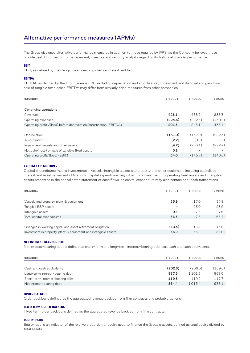# Alternative performance measures (APMs)

The Group discloses alternative performance measures in addition to those required by IFRS, as the Company believes these provide useful information to management, investors and security analysts regarding its historical financial performance.

#### **EBIT**

EBIT, as defined by the Group, means earnings before interest and tax.

#### **EBITDA**

EBITDA, as defined by the Group, means EBIT excluding depreciation and amortisation, impairment and disposal and gain from sale of tangible fixed asset. EBITDA may differ from similarly titled measures from other companies.

| <b>USD MILLION</b>                                                 | 1H 2021 | 1H 2020 | FY 2020 |
|--------------------------------------------------------------------|---------|---------|---------|
|                                                                    |         |         |         |
| Continuing operations                                              |         |         |         |
| Revenues                                                           | 426.1   | 468.7   | 886.3   |
| Operating expenses                                                 | (224.8) | (222.6) | (450.2) |
| Operating profit /(loss) before depreciation/amortisation (EBITDA) | 201.3   | 246.1   | 436.1   |
|                                                                    |         |         |         |
| Depreciation                                                       | (131.0) | (157.9) | (282.5) |
| Amortisation                                                       | (2.2)   | (0.8)   | (1.5)   |
| Impairment vessels and other assets                                | (4.2)   | (233.1) | (292.7) |
| Net gain/(loss) on sale of tangible fixed assets                   | 0.1     |         |         |
| Operating profit/(loss) (EBIT)                                     | 64.0    | (145.7) | (140.6) |

#### **CAPITAL EXPENDITURES**

Capital expenditures means investments in vessels, intangible assets and property and other equipment, including capitalised interest and asset retirement obligations. Capital expenditure may differ from investment in operating fixed assets and intangible assets presented in the consolidated statement of cash flows, as capital expenditure may also contain non-cash transactions.

| <b>USD MILLION</b>                                              | 1H 2021         | 1H 2020 | FY 2020 |
|-----------------------------------------------------------------|-----------------|---------|---------|
|                                                                 |                 |         |         |
| Vessels and property, plant & equipment                         | 65.9            | 17.0    | 37.8    |
| Tangible E&P assets                                             | $\qquad \qquad$ | 23.0    | 23.0    |
| Intangible assets                                               | 0.4             | 7.8     | 7.6     |
| Total capital expenditures                                      | 66.3            | 47.8    | 68.4    |
|                                                                 |                 |         |         |
| Changes in working capital and asset retirement obligation      | (10.4)          | 18.4    | 15.6    |
| Investment in property, plant & equipment and intangible assets | 55.9            | 66.2    | 84.0    |

#### **NET INTEREST-BEARING DEBT**

Net interest-bearing debt is defined as short-term and long-term interest-bearing debt less cash and cash equivalents.

| <b>USD MILLION</b>               | 1H 2021 | 1H 2020 | FY 2020 |
|----------------------------------|---------|---------|---------|
|                                  |         |         |         |
| Cash and cash equivalents        | (202.6) | (206.0) | (139.6) |
| Long-term interest-bearing debt  | 937.5   | 1.101.5 | 958.0   |
| Short-term interest-bearing debt | 119.5   | 119.9   | 117.7   |
| Net interest-bearing debt        | 854.4   | 1.015.4 | 936.1   |

#### **ORDER BACKLOG**

Order backlog is defined as the aggregated revenue backlog from firm contracts and probable options.

#### **FIXED TERM ORDER BACKLOG**

Fixed term order backlog is defined as the aggregated revenue backlog from firm contracts.

#### **EQUITY RATIO**

Equity ratio is an indicator of the relative proportion of equity used to finance the Group's assets, defined as total equity divided by total assets.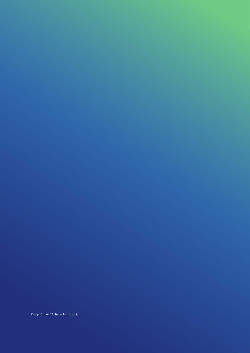Design: Artbox AS. Trykk: Printbox AS.